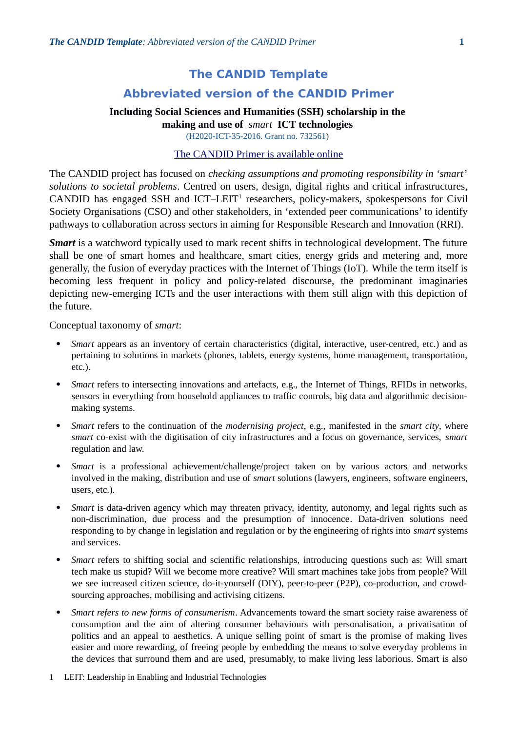# **The CANDID Template**

# **Abbreviated version of the CANDID Primer**

## **Including Social Sciences and Humanities (SSH) scholarship in the making and use of** *smart* **ICT technologies**

(H2020-ICT-35-2016. Grant no. 732561)

### [The CANDID Primer is available online](http://candid.no/progress)

The CANDID project has focused on *checking assumptions and promoting responsibility in 'smart' solutions to societal problems*. Centred on users, design, digital rights and critical infrastructures, CANDID has engaged SSH and ICT-LEIT<sup>[1](#page-0-0)</sup> researchers, policy-makers, spokespersons for Civil Society Organisations (CSO) and other stakeholders, in 'extended peer communications' to identify pathways to collaboration across sectors in aiming for Responsible Research and Innovation (RRI).

*Smart* is a watchword typically used to mark recent shifts in technological development. The future shall be one of smart homes and healthcare, smart cities, energy grids and metering and, more generally, the fusion of everyday practices with the Internet of Things (IoT). While the term itself is becoming less frequent in policy and policy-related discourse, the predominant imaginaries depicting new-emerging ICTs and the user interactions with them still align with this depiction of the future.

Conceptual taxonomy of *smart*:

- *Smart* appears as an inventory of certain characteristics (digital, interactive, user-centred, etc.) and as pertaining to solutions in markets (phones, tablets, energy systems, home management, transportation, etc.).
- *Smart* refers to intersecting innovations and artefacts, e.g., the Internet of Things, RFIDs in networks, sensors in everything from household appliances to traffic controls, big data and algorithmic decisionmaking systems.
- *Smart* refers to the continuation of the *modernising project*, e.g., manifested in the *smart city*, where *smart* co-exist with the digitisation of city infrastructures and a focus on governance, services, *smart* regulation and law.
- *Smart* is a professional achievement/challenge/project taken on by various actors and networks involved in the making, distribution and use of *smart* solutions (lawyers, engineers, software engineers, users, etc.).
- *Smart* is data-driven agency which may threaten privacy, identity, autonomy, and legal rights such as non-discrimination, due process and the presumption of innocence. Data-driven solutions need responding to by change in legislation and regulation or by the engineering of rights into *smart* systems and services.
- *Smart* refers to shifting social and scientific relationships, introducing questions such as: Will smart tech make us stupid? Will we become more creative? Will smart machines take jobs from people? Will we see increased citizen science, do-it-yourself (DIY), peer-to-peer (P2P), co-production, and crowdsourcing approaches, mobilising and activising citizens.
- *Smart refers to new forms of consumerism*. Advancements toward the smart society raise awareness of consumption and the aim of altering consumer behaviours with personalisation, a privatisation of politics and an appeal to aesthetics. A unique selling point of smart is the promise of making lives easier and more rewarding, of freeing people by embedding the means to solve everyday problems in the devices that surround them and are used, presumably, to make living less laborious. Smart is also
- <span id="page-0-0"></span>1 LEIT: Leadership in Enabling and Industrial Technologies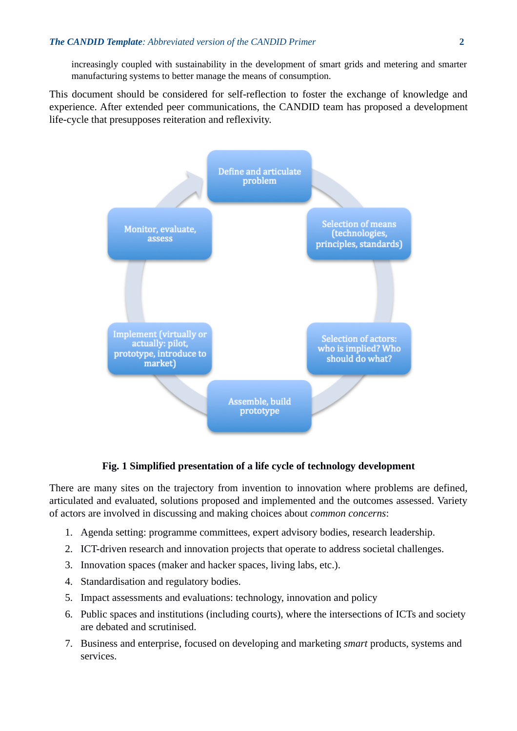increasingly coupled with sustainability in the development of smart grids and metering and smarter manufacturing systems to better manage the means of consumption.

This document should be considered for self-reflection to foster the exchange of knowledge and experience. After extended peer communications, the CANDID team has proposed a development life-cycle that presupposes reiteration and reflexivity.



## **Fig. 1 Simplified presentation of a life cycle of technology development**

There are many sites on the trajectory from invention to innovation where problems are defined, articulated and evaluated, solutions proposed and implemented and the outcomes assessed. Variety of actors are involved in discussing and making choices about *common concerns*:

- 1. Agenda setting: programme committees, expert advisory bodies, research leadership.
- 2. ICT-driven research and innovation projects that operate to address societal challenges.
- 3. Innovation spaces (maker and hacker spaces, living labs, etc.).
- 4. Standardisation and regulatory bodies.
- 5. Impact assessments and evaluations: technology, innovation and policy
- 6. Public spaces and institutions (including courts), where the intersections of ICTs and society are debated and scrutinised.
- 7. Business and enterprise, focused on developing and marketing *smart* products, systems and services.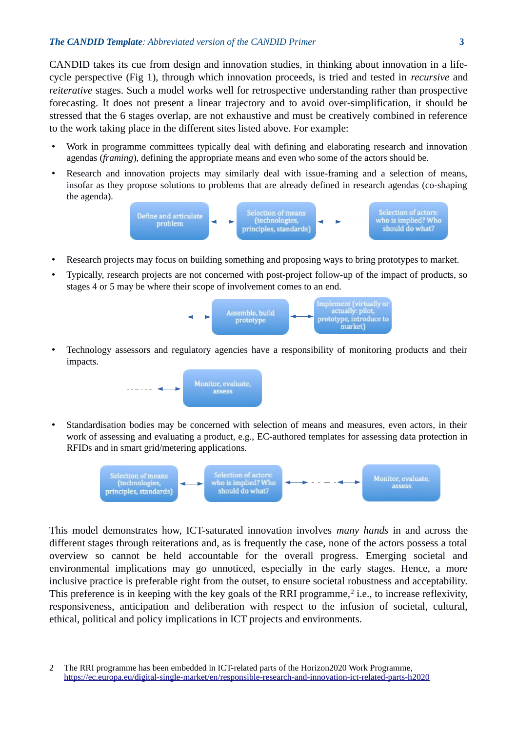#### *The CANDID Template: Abbreviated version of the CANDID Primer* **3**

CANDID takes its cue from design and innovation studies, in thinking about innovation in a lifecycle perspective (Fig 1), through which innovation proceeds, is tried and tested in *recursive* and *reiterative* stages. Such a model works well for retrospective understanding rather than prospective forecasting. It does not present a linear trajectory and to avoid over-simplification, it should be stressed that the 6 stages overlap, are not exhaustive and must be creatively combined in reference to the work taking place in the different sites listed above. For example:

- Work in programme committees typically deal with defining and elaborating research and innovation agendas (*framing*), defining the appropriate means and even who some of the actors should be.
- Research and innovation projects may similarly deal with issue-framing and a selection of means, insofar as they propose solutions to problems that are already defined in research agendas (co-shaping the agenda).



- Research projects may focus on building something and proposing ways to bring prototypes to market.
- Typically, research projects are not concerned with post-project follow-up of the impact of products, so stages 4 or 5 may be where their scope of involvement comes to an end.



• Technology assessors and regulatory agencies have a responsibility of monitoring products and their impacts.



• Standardisation bodies may be concerned with selection of means and measures, even actors, in their work of assessing and evaluating a product, e.g., EC-authored templates for assessing data protection in RFIDs and in smart grid/metering applications.



This model demonstrates how, ICT-saturated innovation involves *many hands* in and across the different stages through reiterations and, as is frequently the case, none of the actors possess a total overview so cannot be held accountable for the overall progress. Emerging societal and environmental implications may go unnoticed, especially in the early stages. Hence, a more inclusive practice is preferable right from the outset, to ensure societal robustness and acceptability. This preference is in keeping with the key goals of the RRI programme,<sup>[2](#page-2-0)</sup> i.e., to increase reflexivity, responsiveness, anticipation and deliberation with respect to the infusion of societal, cultural, ethical, political and policy implications in ICT projects and environments.

<span id="page-2-0"></span><sup>2</sup> The RRI programme has been embedded in ICT-related parts of the Horizon2020 Work Programme, <https://ec.europa.eu/digital-single-market/en/responsible-research-and-innovation-ict-related-parts-h2020>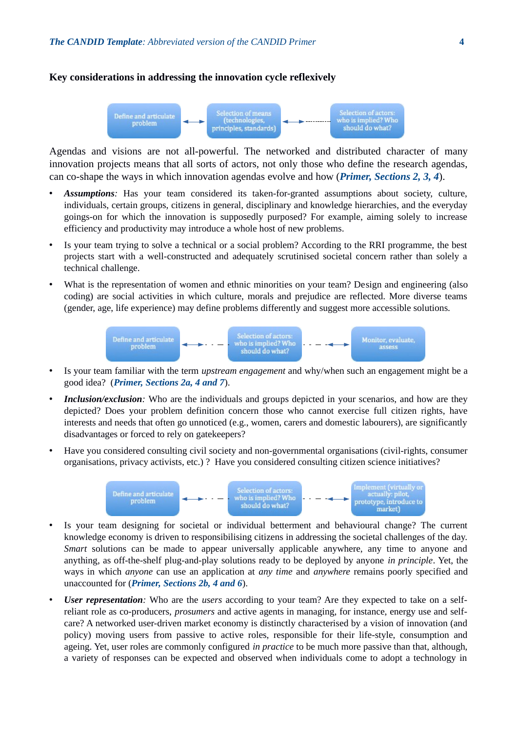**Key considerations in addressing the innovation cycle reflexively**

#### ${\bf Selection~of~actors:} \\ {\bf who~is~implied?~Who~should~do~what?}$ Selection of means<br>(technologies, Define and articulate<br>problem principles, standards)

Agendas and visions are not all-powerful. The networked and distributed character of many innovation projects means that all sorts of actors, not only those who define the research agendas, can co-shape the ways in which innovation agendas evolve and how (*Primer, Sections 2, 3, 4*).

- *Assumptions:* Has your team considered its taken-for-granted assumptions about society, culture, individuals, certain groups, citizens in general, disciplinary and knowledge hierarchies, and the everyday goings-on for which the innovation is supposedly purposed? For example, aiming solely to increase efficiency and productivity may introduce a whole host of new problems.
- Is your team trying to solve a technical or a social problem? According to the RRI programme, the best projects start with a well-constructed and adequately scrutinised societal concern rather than solely a technical challenge.
- What is the representation of women and ethnic minorities on your team? Design and engineering (also coding) are social activities in which culture, morals and prejudice are reflected. More diverse teams (gender, age, life experience) may define problems differently and suggest more accessible solutions.



- Is your team familiar with the term *upstream engagement* and why/when such an engagement might be a good idea? (*Primer, Sections 2a, 4 and 7*).
- *Inclusion/exclusion:* Who are the individuals and groups depicted in your scenarios, and how are they depicted? Does your problem definition concern those who cannot exercise full citizen rights, have interests and needs that often go unnoticed (e.g., women, carers and domestic labourers), are significantly disadvantages or forced to rely on gatekeepers?
- Have you considered consulting civil society and non-governmental organisations (civil-rights, consumer organisations, privacy activists, etc.) ? Have you considered consulting citizen science initiatives?



- Is your team designing for societal or individual betterment and behavioural change? The current knowledge economy is driven to responsibilising citizens in addressing the societal challenges of the day. *Smart* solutions can be made to appear universally applicable anywhere, any time to anyone and anything, as off-the-shelf plug-and-play solutions ready to be deployed by anyone *in principle*. Yet, the ways in which *anyone* can use an application at *any time* and *anywhere* remains poorly specified and unaccounted for (*Primer, Sections 2b, 4 and 6*).
- *User representation:* Who are the *users* according to your team? Are they expected to take on a selfreliant role as co-producers, *prosumers* and active agents in managing, for instance, energy use and selfcare? A networked user-driven market economy is distinctly characterised by a vision of innovation (and policy) moving users from passive to active roles, responsible for their life-style, consumption and ageing. Yet, user roles are commonly configured *in practice* to be much more passive than that, although, a variety of responses can be expected and observed when individuals come to adopt a technology in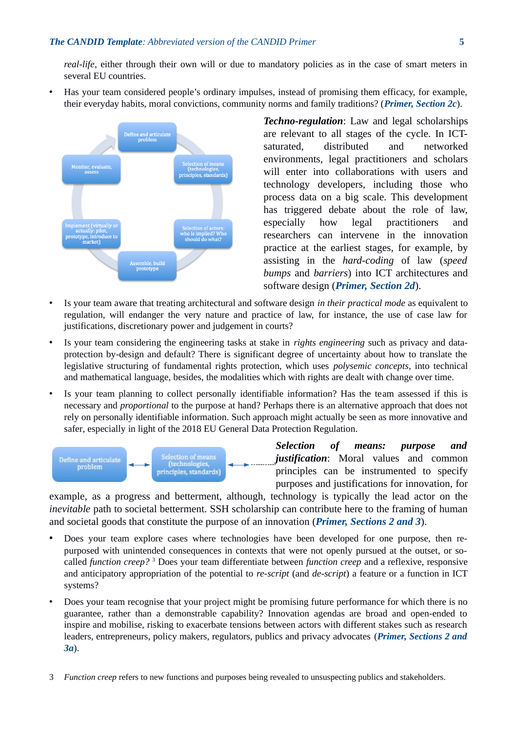*real-life*, either through their own will or due to mandatory policies as in the case of smart meters in several EU countries.

• Has your team considered people's ordinary impulses, instead of promising them efficacy, for example, their everyday habits, moral convictions, community norms and family traditions? (*Primer, Section 2c*).



*Techno-regulation*: Law and legal scholarships are relevant to all stages of the cycle. In ICTsaturated, distributed and networked environments, legal practitioners and scholars will enter into collaborations with users and technology developers, including those who process data on a big scale. This development has triggered debate about the role of law, especially how legal practitioners and researchers can intervene in the innovation practice at the earliest stages, for example, by assisting in the *hard-coding* of law (*speed bumps* and *barriers*) into ICT architectures and software design (*Primer, Section 2d*).

- Is your team aware that treating architectural and software design *in their practical mode* as equivalent to regulation, will endanger the very nature and practice of law, for instance, the use of case law for justifications, discretionary power and judgement in courts?
- Is your team considering the engineering tasks at stake in *rights engineering* such as privacy and dataprotection by-design and default? There is significant degree of uncertainty about how to translate the legislative structuring of fundamental rights protection, which uses *polysemic concepts*, into technical and mathematical language, besides, the modalities which with rights are dealt with change over time.
- Is your team planning to collect personally identifiable information? Has the team assessed if this is necessary and *proportional* to the purpose at hand? Perhaps there is an alternative approach that does not rely on personally identifiable information. Such approach might actually be seen as more innovative and safer, especially in light of the 2018 EU General Data Protection Regulation.



*Selection of means: purpose and justification*: Moral values and common principles can be instrumented to specify purposes and justifications for innovation, for

example, as a progress and betterment, although, technology is typically the lead actor on the *inevitable* path to societal betterment. SSH scholarship can contribute here to the framing of human and societal goods that constitute the purpose of an innovation (*Primer, Sections 2 and 3*).

- Does your team explore cases where technologies have been developed for one purpose, then repurposed with unintended consequences in contexts that were not openly pursued at the outset, or socalled *function creep?* [3](#page-4-0) Does your team differentiate between *function creep* and a reflexive, responsive and anticipatory appropriation of the potential to *re-script* (and *de-script*) a feature or a function in ICT systems?
- Does your team recognise that your project might be promising future performance for which there is no guarantee, rather than a demonstrable capability? Innovation agendas are broad and open-ended to inspire and mobilise, risking to exacerbate tensions between actors with different stakes such as research leaders, entrepreneurs, policy makers, regulators, publics and privacy advocates (*Primer, Sections 2 and 3a*).
- <span id="page-4-0"></span>3 *Function creep* refers to new functions and purposes being revealed to unsuspecting publics and stakeholders.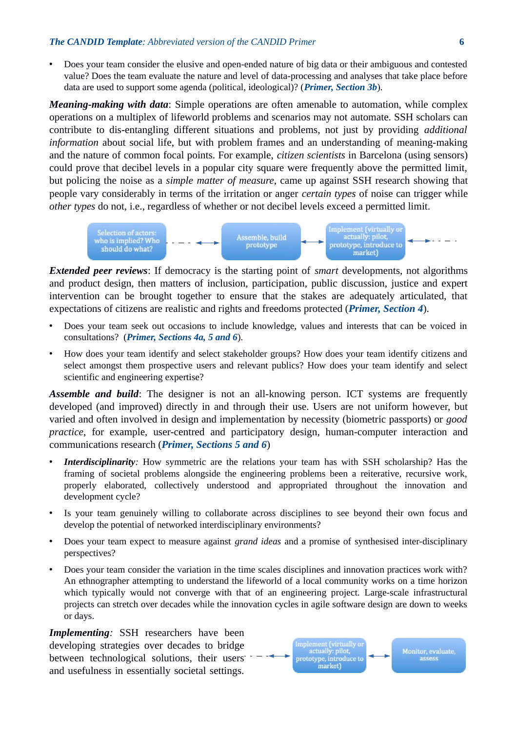• Does your team consider the elusive and open-ended nature of big data or their ambiguous and contested value? Does the team evaluate the nature and level of data-processing and analyses that take place before data are used to support some agenda (political, ideological)? (*Primer, Section 3b*).

*Meaning-making with data*: Simple operations are often amenable to automation, while complex operations on a multiplex of lifeworld problems and scenarios may not automate. SSH scholars can contribute to dis-entangling different situations and problems, not just by providing *additional information* about social life, but with problem frames and an understanding of meaning-making and the nature of common focal points. For example, *citizen scientists* in Barcelona (using sensors) could prove that decibel levels in a popular city square were frequently above the permitted limit, but policing the noise as a *simple matter of measure*, came up against SSH research showing that people vary considerably in terms of the irritation or anger *certain types* of noise can trigger while *other types* do not, i.e., regardless of whether or not decibel levels exceed a permitted limit.



*Extended peer reviews*: If democracy is the starting point of *smart* developments, not algorithms and product design, then matters of inclusion, participation, public discussion, justice and expert intervention can be brought together to ensure that the stakes are adequately articulated, that expectations of citizens are realistic and rights and freedoms protected (*Primer, Section 4*).

- Does your team seek out occasions to include knowledge, values and interests that can be voiced in consultations? (*Primer, Sections 4a, 5 and 6*).
- How does your team identify and select stakeholder groups? How does your team identify citizens and select amongst them prospective users and relevant publics? How does your team identify and select scientific and engineering expertise?

*Assemble and build*: The designer is not an all-knowing person. ICT systems are frequently developed (and improved) directly in and through their use. Users are not uniform however, but varied and often involved in design and implementation by necessity (biometric passports) or *good practice*, for example, user-centred and participatory design, human-computer interaction and communications research (*Primer, Sections 5 and 6*)

- *Interdisciplinarity:* How symmetric are the relations your team has with SSH scholarship? Has the framing of societal problems alongside the engineering problems been a reiterative, recursive work, properly elaborated, collectively understood and appropriated throughout the innovation and development cycle?
- Is your team genuinely willing to collaborate across disciplines to see beyond their own focus and develop the potential of networked interdisciplinary environments?
- Does your team expect to measure against *grand ideas* and a promise of synthesised inter-disciplinary perspectives?
- Does your team consider the variation in the time scales disciplines and innovation practices work with? An ethnographer attempting to understand the lifeworld of a local community works on a time horizon which typically would not converge with that of an engineering project. Large-scale infrastructural projects can stretch over decades while the innovation cycles in agile software design are down to weeks or days.

*Implementing:* SSH researchers have been developing strategies over decades to bridge between technological solutions, their users and usefulness in essentially societal settings.

Implement (virtually or<br>actually: pilot, Monitor, evaluate, prototype, introduce to market)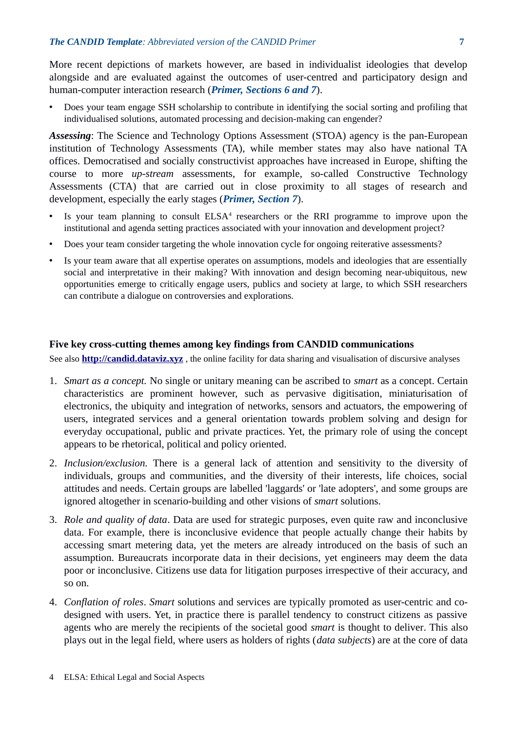More recent depictions of markets however, are based in individualist ideologies that develop alongside and are evaluated against the outcomes of user-centred and participatory design and human-computer interaction research (*Primer, Sections 6 and 7*).

• Does your team engage SSH scholarship to contribute in identifying the social sorting and profiling that individualised solutions, automated processing and decision-making can engender?

*Assessing*: The Science and Technology Options Assessment (STOA) agency is the pan-European institution of Technology Assessments (TA), while member states may also have national TA offices. Democratised and socially constructivist approaches have increased in Europe, shifting the course to more *up-stream* assessments, for example, so-called Constructive Technology Assessments (CTA) that are carried out in close proximity to all stages of research and development, especially the early stages (*Primer, Section 7*).

- Is your team planning to consult ELSA<sup>[4](#page-6-0)</sup> researchers or the RRI programme to improve upon the institutional and agenda setting practices associated with your innovation and development project?
- Does your team consider targeting the whole innovation cycle for ongoing reiterative assessments?
- Is your team aware that all expertise operates on assumptions, models and ideologies that are essentially social and interpretative in their making? With innovation and design becoming near-ubiquitous, new opportunities emerge to critically engage users, publics and society at large, to which SSH researchers can contribute a dialogue on controversies and explorations.

#### **Five key cross-cutting themes among key findings from CANDID communications**

See also **[http://candid.dataviz.xyz](http://candid.dataviz.xyz/)** , the online facility for data sharing and visualisation of discursive analyses

- 1. *Smart as a concept.* No single or unitary meaning can be ascribed to *smart* as a concept. Certain characteristics are prominent however, such as pervasive digitisation, miniaturisation of electronics, the ubiquity and integration of networks, sensors and actuators, the empowering of users, integrated services and a general orientation towards problem solving and design for everyday occupational, public and private practices. Yet, the primary role of using the concept appears to be rhetorical, political and policy oriented.
- 2. *Inclusion/exclusion.* There is a general lack of attention and sensitivity to the diversity of individuals, groups and communities, and the diversity of their interests, life choices, social attitudes and needs. Certain groups are labelled 'laggards' or 'late adopters', and some groups are ignored altogether in scenario-building and other visions of *smart* solutions.
- 3. *Role and quality of data*. Data are used for strategic purposes, even quite raw and inconclusive data. For example, there is inconclusive evidence that people actually change their habits by accessing smart metering data, yet the meters are already introduced on the basis of such an assumption. Bureaucrats incorporate data in their decisions, yet engineers may deem the data poor or inconclusive. Citizens use data for litigation purposes irrespective of their accuracy, and so on.
- <span id="page-6-0"></span>4. *Conflation of roles*. *Smart* solutions and services are typically promoted as user-centric and codesigned with users. Yet, in practice there is parallel tendency to construct citizens as passive agents who are merely the recipients of the societal good *smart* is thought to deliver. This also plays out in the legal field, where users as holders of rights (*data subjects*) are at the core of data